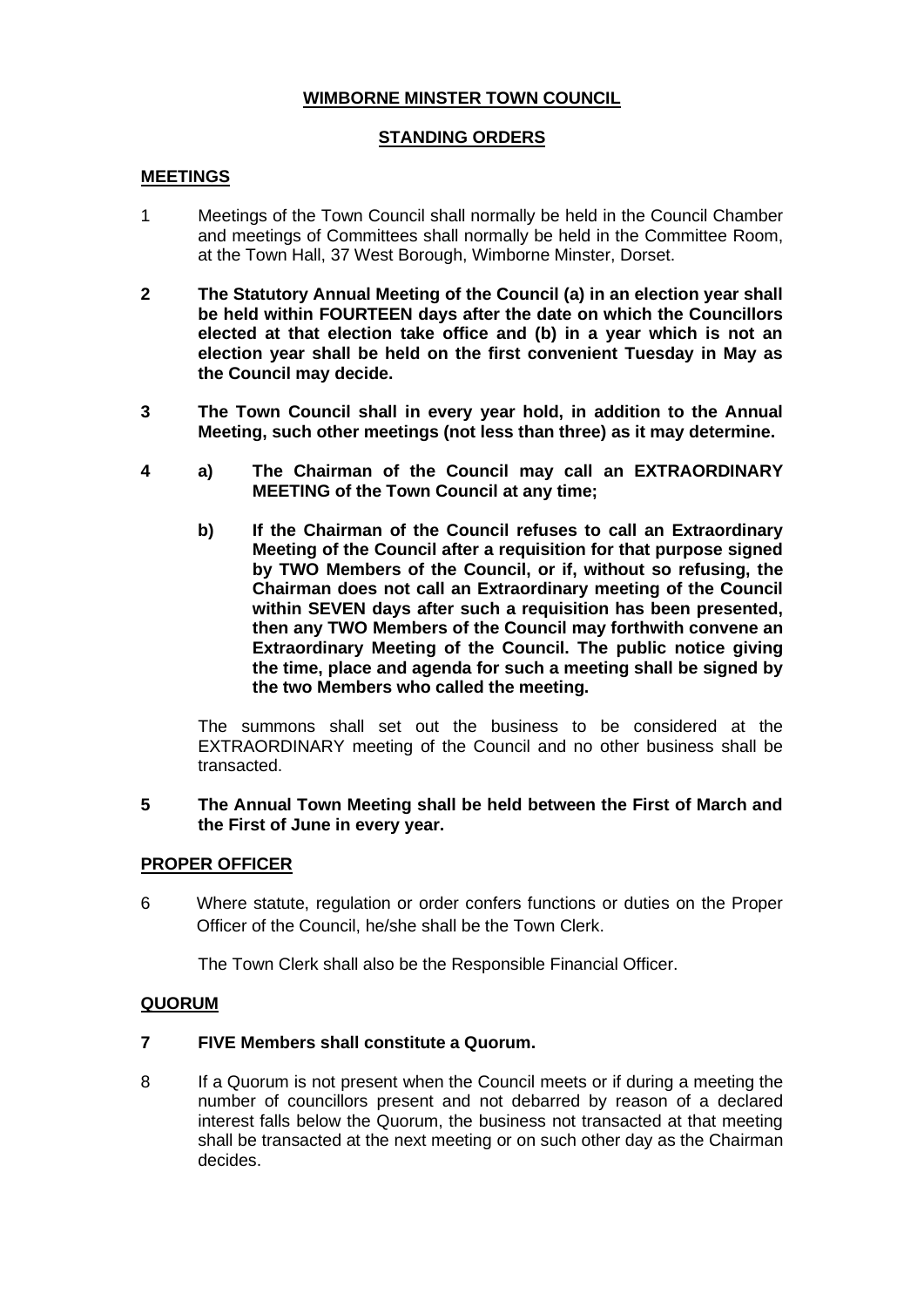# **WIMBORNE MINSTER TOWN COUNCIL**

## **STANDING ORDERS**

## **MEETINGS**

- 1 Meetings of the Town Council shall normally be held in the Council Chamber and meetings of Committees shall normally be held in the Committee Room, at the Town Hall, 37 West Borough, Wimborne Minster, Dorset.
- **2 The Statutory Annual Meeting of the Council (a) in an election year shall be held within FOURTEEN days after the date on which the Councillors elected at that election take office and (b) in a year which is not an election year shall be held on the first convenient Tuesday in May as the Council may decide.**
- **3 The Town Council shall in every year hold, in addition to the Annual Meeting, such other meetings (not less than three) as it may determine.**
- **4 a) The Chairman of the Council may call an EXTRAORDINARY MEETING of the Town Council at any time;**
	- **b) If the Chairman of the Council refuses to call an Extraordinary Meeting of the Council after a requisition for that purpose signed by TWO Members of the Council, or if, without so refusing, the Chairman does not call an Extraordinary meeting of the Council within SEVEN days after such a requisition has been presented, then any TWO Members of the Council may forthwith convene an Extraordinary Meeting of the Council. The public notice giving the time, place and agenda for such a meeting shall be signed by the two Members who called the meeting.**

The summons shall set out the business to be considered at the EXTRAORDINARY meeting of the Council and no other business shall be transacted.

#### **5 The Annual Town Meeting shall be held between the First of March and the First of June in every year.**

## **PROPER OFFICER**

6 Where statute, regulation or order confers functions or duties on the Proper Officer of the Council, he/she shall be the Town Clerk.

The Town Clerk shall also be the Responsible Financial Officer.

## **QUORUM**

## **7 FIVE Members shall constitute a Quorum.**

8 If a Quorum is not present when the Council meets or if during a meeting the number of councillors present and not debarred by reason of a declared interest falls below the Quorum, the business not transacted at that meeting shall be transacted at the next meeting or on such other day as the Chairman decides.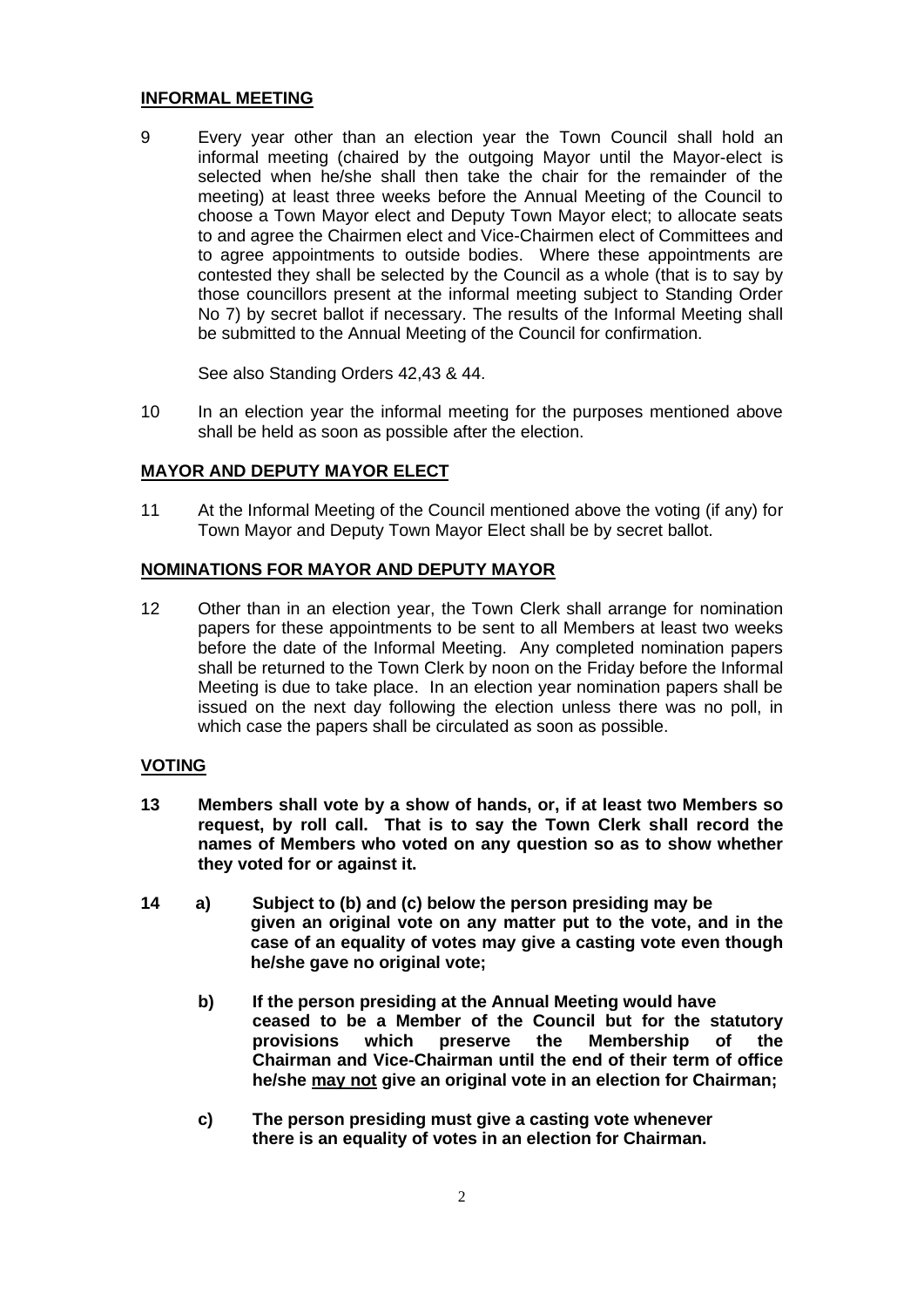#### **INFORMAL MEETING**

9 Every year other than an election year the Town Council shall hold an informal meeting (chaired by the outgoing Mayor until the Mayor-elect is selected when he/she shall then take the chair for the remainder of the meeting) at least three weeks before the Annual Meeting of the Council to choose a Town Mayor elect and Deputy Town Mayor elect; to allocate seats to and agree the Chairmen elect and Vice-Chairmen elect of Committees and to agree appointments to outside bodies. Where these appointments are contested they shall be selected by the Council as a whole (that is to say by those councillors present at the informal meeting subject to Standing Order No 7) by secret ballot if necessary. The results of the Informal Meeting shall be submitted to the Annual Meeting of the Council for confirmation.

See also Standing Orders 42,43 & 44.

10 In an election year the informal meeting for the purposes mentioned above shall be held as soon as possible after the election.

## **MAYOR AND DEPUTY MAYOR ELECT**

11 At the Informal Meeting of the Council mentioned above the voting (if any) for Town Mayor and Deputy Town Mayor Elect shall be by secret ballot.

#### **NOMINATIONS FOR MAYOR AND DEPUTY MAYOR**

12 Other than in an election year, the Town Clerk shall arrange for nomination papers for these appointments to be sent to all Members at least two weeks before the date of the Informal Meeting. Any completed nomination papers shall be returned to the Town Clerk by noon on the Friday before the Informal Meeting is due to take place. In an election year nomination papers shall be issued on the next day following the election unless there was no poll, in which case the papers shall be circulated as soon as possible.

#### **VOTING**

- **13 Members shall vote by a show of hands, or, if at least two Members so request, by roll call. That is to say the Town Clerk shall record the names of Members who voted on any question so as to show whether they voted for or against it.**
- **14 a) Subject to (b) and (c) below the person presiding may be given an original vote on any matter put to the vote, and in the case of an equality of votes may give a casting vote even though he/she gave no original vote;**
	- **b) If the person presiding at the Annual Meeting would have ceased to be a Member of the Council but for the statutory provisions which preserve the Membership of the Chairman and Vice-Chairman until the end of their term of office he/she may not give an original vote in an election for Chairman;**
	- **c) The person presiding must give a casting vote whenever there is an equality of votes in an election for Chairman.**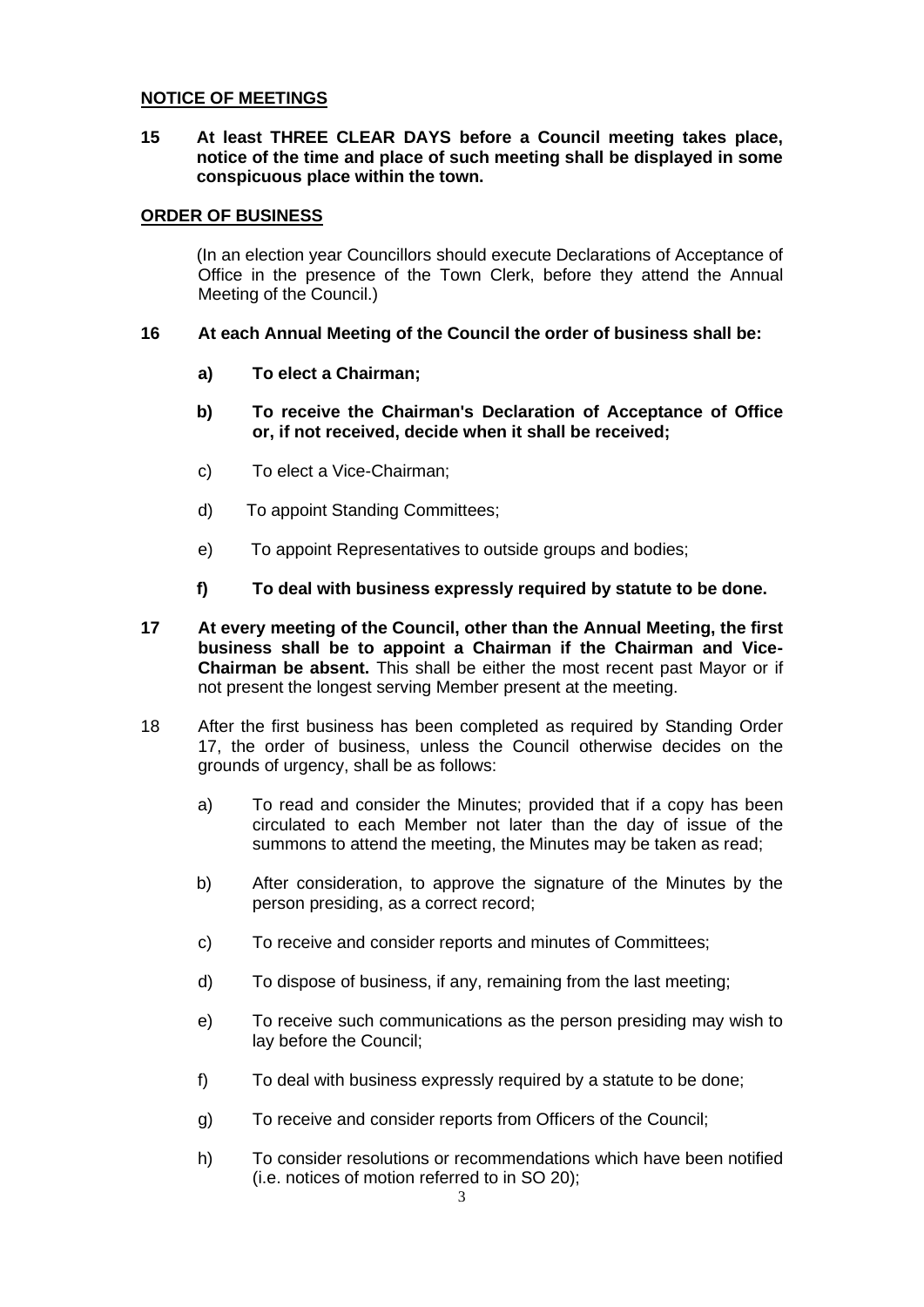#### **NOTICE OF MEETINGS**

**15 At least THREE CLEAR DAYS before a Council meeting takes place, notice of the time and place of such meeting shall be displayed in some conspicuous place within the town.** 

#### **ORDER OF BUSINESS**

(In an election year Councillors should execute Declarations of Acceptance of Office in the presence of the Town Clerk, before they attend the Annual Meeting of the Council.)

#### **16 At each Annual Meeting of the Council the order of business shall be:**

- **a) To elect a Chairman;**
- **b) To receive the Chairman's Declaration of Acceptance of Office or, if not received, decide when it shall be received;**
- c) To elect a Vice-Chairman;
- d) To appoint Standing Committees;
- e) To appoint Representatives to outside groups and bodies;
- **f) To deal with business expressly required by statute to be done.**
- **17 At every meeting of the Council, other than the Annual Meeting, the first business shall be to appoint a Chairman if the Chairman and Vice-Chairman be absent.** This shall be either the most recent past Mayor or if not present the longest serving Member present at the meeting.
- 18 After the first business has been completed as required by Standing Order 17, the order of business, unless the Council otherwise decides on the grounds of urgency, shall be as follows:
	- a) To read and consider the Minutes; provided that if a copy has been circulated to each Member not later than the day of issue of the summons to attend the meeting, the Minutes may be taken as read;
	- b) After consideration, to approve the signature of the Minutes by the person presiding, as a correct record;
	- c) To receive and consider reports and minutes of Committees;
	- d) To dispose of business, if any, remaining from the last meeting;
	- e) To receive such communications as the person presiding may wish to lay before the Council;
	- f) To deal with business expressly required by a statute to be done;
	- g) To receive and consider reports from Officers of the Council;
	- h) To consider resolutions or recommendations which have been notified (i.e. notices of motion referred to in SO 20);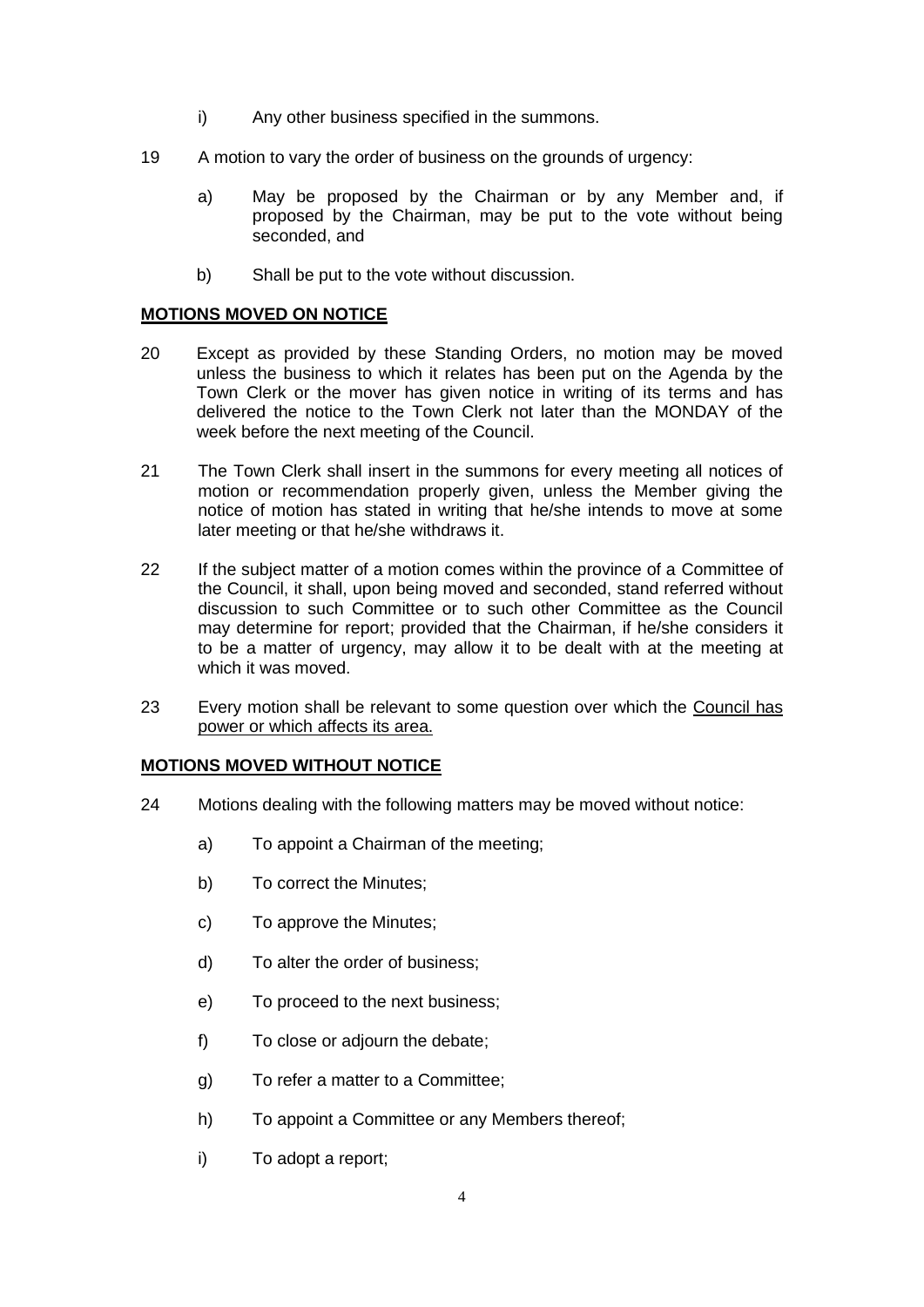- i) Any other business specified in the summons.
- 19 A motion to vary the order of business on the grounds of urgency:
	- a) May be proposed by the Chairman or by any Member and, if proposed by the Chairman, may be put to the vote without being seconded, and
	- b) Shall be put to the vote without discussion.

#### **MOTIONS MOVED ON NOTICE**

- 20 Except as provided by these Standing Orders, no motion may be moved unless the business to which it relates has been put on the Agenda by the Town Clerk or the mover has given notice in writing of its terms and has delivered the notice to the Town Clerk not later than the MONDAY of the week before the next meeting of the Council.
- 21 The Town Clerk shall insert in the summons for every meeting all notices of motion or recommendation properly given, unless the Member giving the notice of motion has stated in writing that he/she intends to move at some later meeting or that he/she withdraws it.
- 22 If the subject matter of a motion comes within the province of a Committee of the Council, it shall, upon being moved and seconded, stand referred without discussion to such Committee or to such other Committee as the Council may determine for report; provided that the Chairman, if he/she considers it to be a matter of urgency, may allow it to be dealt with at the meeting at which it was moved.
- 23 Every motion shall be relevant to some question over which the Council has power or which affects its area.

#### **MOTIONS MOVED WITHOUT NOTICE**

- 24 Motions dealing with the following matters may be moved without notice:
	- a) To appoint a Chairman of the meeting;
	- b) To correct the Minutes;
	- c) To approve the Minutes;
	- d) To alter the order of business;
	- e) To proceed to the next business;
	- f) To close or adjourn the debate;
	- g) To refer a matter to a Committee;
	- h) To appoint a Committee or any Members thereof;
	- i) To adopt a report;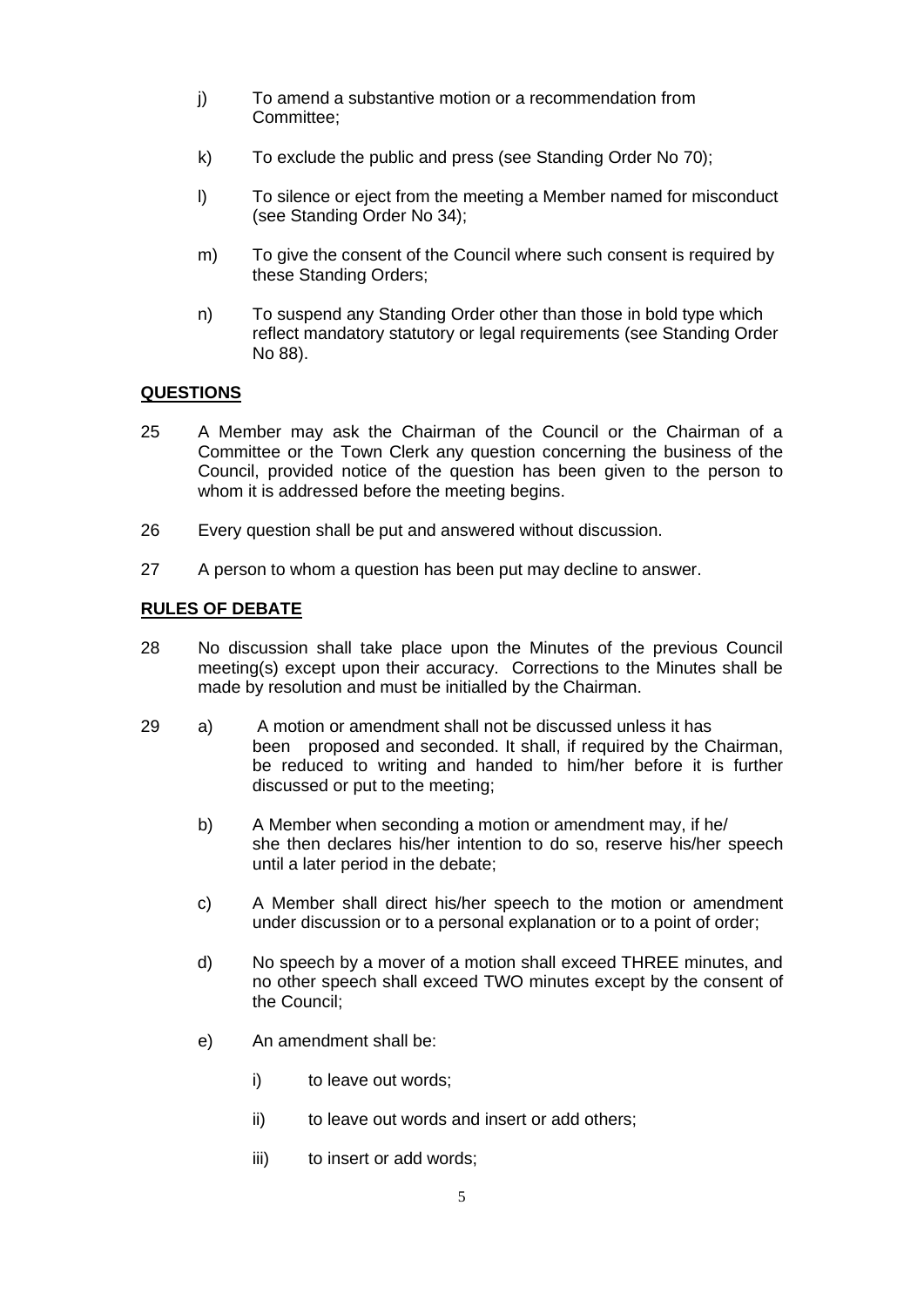- j) To amend a substantive motion or a recommendation from Committee;
- k) To exclude the public and press (see Standing Order No 70);
- l) To silence or eject from the meeting a Member named for misconduct (see Standing Order No 34);
- m) To give the consent of the Council where such consent is required by these Standing Orders;
- n) To suspend any Standing Order other than those in bold type which reflect mandatory statutory or legal requirements (see Standing Order No 88).

# **QUESTIONS**

- 25 A Member may ask the Chairman of the Council or the Chairman of a Committee or the Town Clerk any question concerning the business of the Council, provided notice of the question has been given to the person to whom it is addressed before the meeting begins.
- 26 Every question shall be put and answered without discussion.
- 27 A person to whom a question has been put may decline to answer.

## **RULES OF DEBATE**

- 28 No discussion shall take place upon the Minutes of the previous Council meeting(s) except upon their accuracy. Corrections to the Minutes shall be made by resolution and must be initialled by the Chairman.
- 29 a) A motion or amendment shall not be discussed unless it has been proposed and seconded. It shall, if required by the Chairman, be reduced to writing and handed to him/her before it is further discussed or put to the meeting;
	- b) A Member when seconding a motion or amendment may, if he/ she then declares his/her intention to do so, reserve his/her speech until a later period in the debate;
	- c) A Member shall direct his/her speech to the motion or amendment under discussion or to a personal explanation or to a point of order;
	- d) No speech by a mover of a motion shall exceed THREE minutes, and no other speech shall exceed TWO minutes except by the consent of the Council;
	- e) An amendment shall be:
		- i) to leave out words;
		- ii) to leave out words and insert or add others;
		- iii) to insert or add words;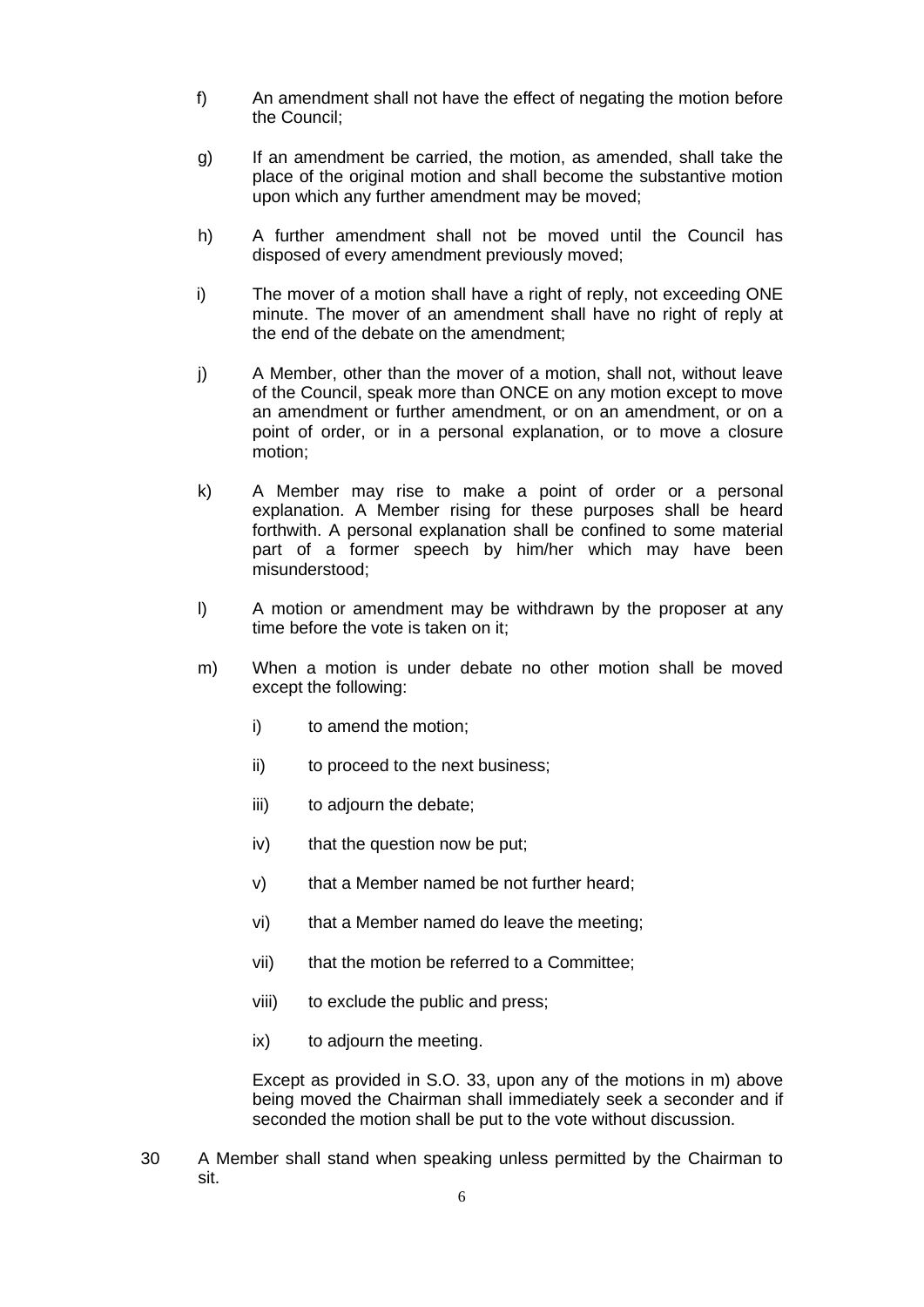- f) An amendment shall not have the effect of negating the motion before the Council;
- g) If an amendment be carried, the motion, as amended, shall take the place of the original motion and shall become the substantive motion upon which any further amendment may be moved;
- h) A further amendment shall not be moved until the Council has disposed of every amendment previously moved;
- i) The mover of a motion shall have a right of reply, not exceeding ONE minute. The mover of an amendment shall have no right of reply at the end of the debate on the amendment;
- j) A Member, other than the mover of a motion, shall not, without leave of the Council, speak more than ONCE on any motion except to move an amendment or further amendment, or on an amendment, or on a point of order, or in a personal explanation, or to move a closure motion;
- k) A Member may rise to make a point of order or a personal explanation. A Member rising for these purposes shall be heard forthwith. A personal explanation shall be confined to some material part of a former speech by him/her which may have been misunderstood;
- l) A motion or amendment may be withdrawn by the proposer at any time before the vote is taken on it;
- m) When a motion is under debate no other motion shall be moved except the following:
	- i) to amend the motion;
	- ii) to proceed to the next business;
	- iii) to adjourn the debate;
	- iv) that the question now be put;
	- v) that a Member named be not further heard;
	- vi) that a Member named do leave the meeting;
	- vii) that the motion be referred to a Committee;
	- viii) to exclude the public and press;
	- ix) to adjourn the meeting.

Except as provided in S.O. 33, upon any of the motions in m) above being moved the Chairman shall immediately seek a seconder and if seconded the motion shall be put to the vote without discussion.

30 A Member shall stand when speaking unless permitted by the Chairman to sit.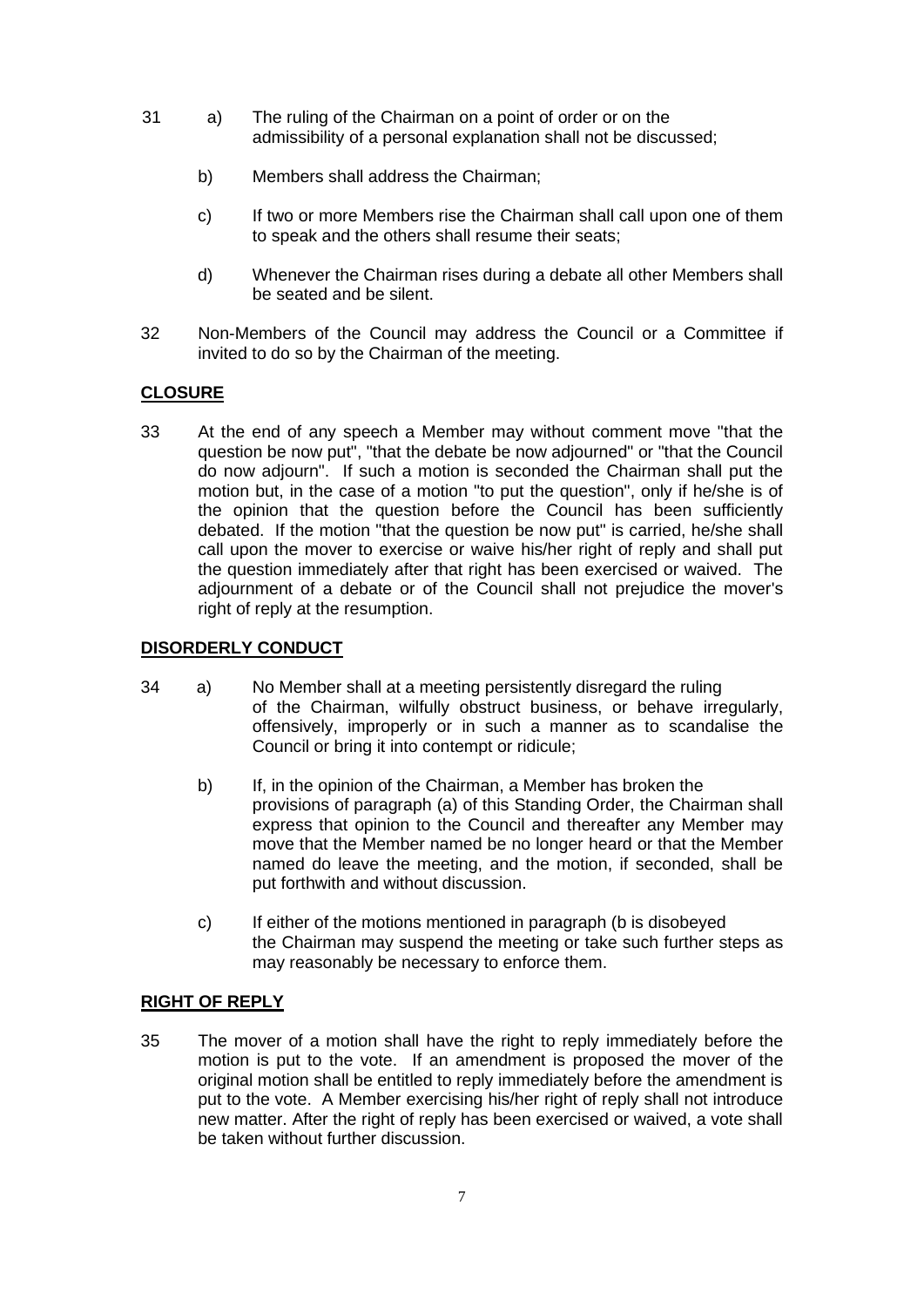- 31 a) The ruling of the Chairman on a point of order or on the admissibility of a personal explanation shall not be discussed;
	- b) Members shall address the Chairman;
	- c) If two or more Members rise the Chairman shall call upon one of them to speak and the others shall resume their seats;
	- d) Whenever the Chairman rises during a debate all other Members shall be seated and be silent.
- 32 Non-Members of the Council may address the Council or a Committee if invited to do so by the Chairman of the meeting.

## **CLOSURE**

33 At the end of any speech a Member may without comment move "that the question be now put", "that the debate be now adjourned" or "that the Council do now adjourn". If such a motion is seconded the Chairman shall put the motion but, in the case of a motion "to put the question", only if he/she is of the opinion that the question before the Council has been sufficiently debated. If the motion "that the question be now put" is carried, he/she shall call upon the mover to exercise or waive his/her right of reply and shall put the question immediately after that right has been exercised or waived. The adjournment of a debate or of the Council shall not prejudice the mover's right of reply at the resumption.

## **DISORDERLY CONDUCT**

- 34 a) No Member shall at a meeting persistently disregard the ruling of the Chairman, wilfully obstruct business, or behave irregularly, offensively, improperly or in such a manner as to scandalise the Council or bring it into contempt or ridicule;
	- b) If, in the opinion of the Chairman, a Member has broken the provisions of paragraph (a) of this Standing Order, the Chairman shall express that opinion to the Council and thereafter any Member may move that the Member named be no longer heard or that the Member named do leave the meeting, and the motion, if seconded, shall be put forthwith and without discussion.
	- c) If either of the motions mentioned in paragraph (b is disobeyed the Chairman may suspend the meeting or take such further steps as may reasonably be necessary to enforce them.

## **RIGHT OF REPLY**

35 The mover of a motion shall have the right to reply immediately before the motion is put to the vote. If an amendment is proposed the mover of the original motion shall be entitled to reply immediately before the amendment is put to the vote. A Member exercising his/her right of reply shall not introduce new matter. After the right of reply has been exercised or waived, a vote shall be taken without further discussion.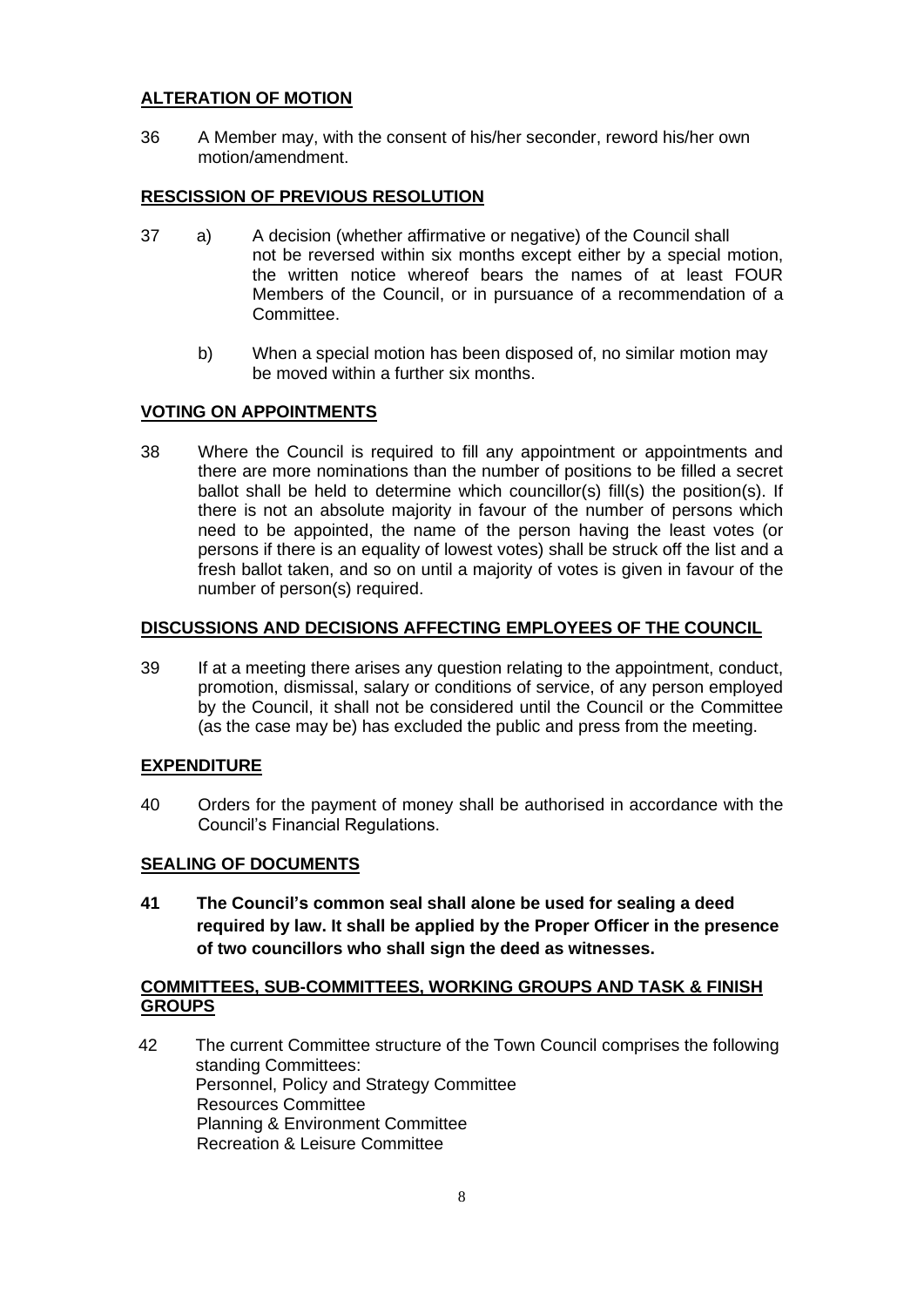# **ALTERATION OF MOTION**

36 A Member may, with the consent of his/her seconder, reword his/her own motion/amendment.

# **RESCISSION OF PREVIOUS RESOLUTION**

- 37 a) A decision (whether affirmative or negative) of the Council shall not be reversed within six months except either by a special motion, the written notice whereof bears the names of at least FOUR Members of the Council, or in pursuance of a recommendation of a Committee.
	- b) When a special motion has been disposed of, no similar motion may be moved within a further six months.

## **VOTING ON APPOINTMENTS**

38 Where the Council is required to fill any appointment or appointments and there are more nominations than the number of positions to be filled a secret ballot shall be held to determine which councillor(s) fill(s) the position(s). If there is not an absolute majority in favour of the number of persons which need to be appointed, the name of the person having the least votes (or persons if there is an equality of lowest votes) shall be struck off the list and a fresh ballot taken, and so on until a majority of votes is given in favour of the number of person(s) required.

#### **DISCUSSIONS AND DECISIONS AFFECTING EMPLOYEES OF THE COUNCIL**

39 If at a meeting there arises any question relating to the appointment, conduct, promotion, dismissal, salary or conditions of service, of any person employed by the Council, it shall not be considered until the Council or the Committee (as the case may be) has excluded the public and press from the meeting.

## **EXPENDITURE**

40 Orders for the payment of money shall be authorised in accordance with the Council's Financial Regulations.

## **SEALING OF DOCUMENTS**

**41 The Council's common seal shall alone be used for sealing a deed required by law. It shall be applied by the Proper Officer in the presence of two councillors who shall sign the deed as witnesses.**

## **COMMITTEES, SUB-COMMITTEES, WORKING GROUPS AND TASK & FINISH GROUPS**

42 The current Committee structure of the Town Council comprises the following standing Committees: Personnel, Policy and Strategy Committee Resources Committee Planning & Environment Committee Recreation & Leisure Committee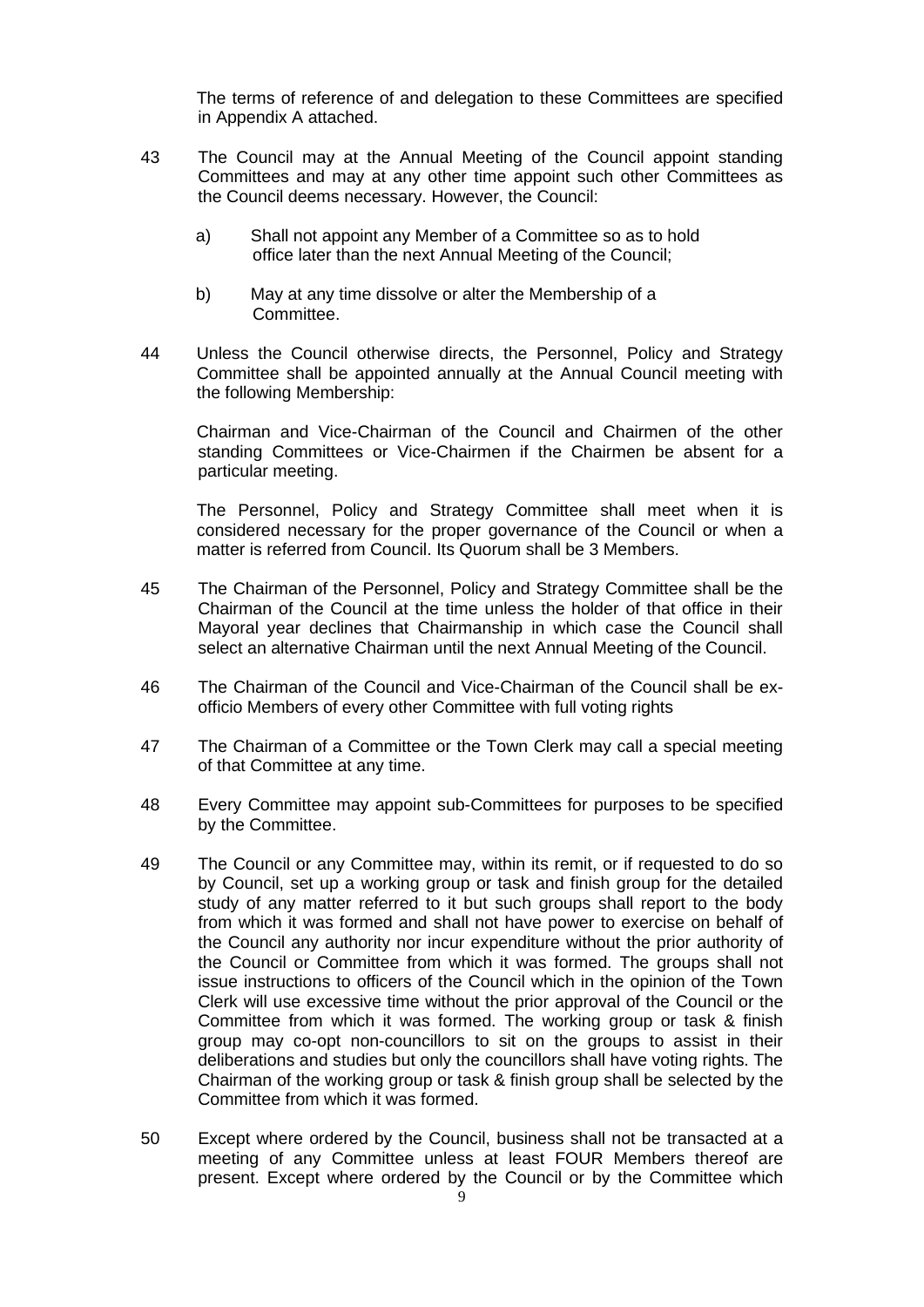The terms of reference of and delegation to these Committees are specified in Appendix A attached.

- 43 The Council may at the Annual Meeting of the Council appoint standing Committees and may at any other time appoint such other Committees as the Council deems necessary. However, the Council:
	- a) Shall not appoint any Member of a Committee so as to hold office later than the next Annual Meeting of the Council;
	- b) May at any time dissolve or alter the Membership of a Committee.
- 44 Unless the Council otherwise directs, the Personnel, Policy and Strategy Committee shall be appointed annually at the Annual Council meeting with the following Membership:

Chairman and Vice-Chairman of the Council and Chairmen of the other standing Committees or Vice-Chairmen if the Chairmen be absent for a particular meeting.

The Personnel, Policy and Strategy Committee shall meet when it is considered necessary for the proper governance of the Council or when a matter is referred from Council. Its Quorum shall be 3 Members.

- 45 The Chairman of the Personnel, Policy and Strategy Committee shall be the Chairman of the Council at the time unless the holder of that office in their Mayoral year declines that Chairmanship in which case the Council shall select an alternative Chairman until the next Annual Meeting of the Council.
- 46 The Chairman of the Council and Vice-Chairman of the Council shall be exofficio Members of every other Committee with full voting rights
- 47 The Chairman of a Committee or the Town Clerk may call a special meeting of that Committee at any time.
- 48 Every Committee may appoint sub-Committees for purposes to be specified by the Committee.
- 49 The Council or any Committee may, within its remit, or if requested to do so by Council, set up a working group or task and finish group for the detailed study of any matter referred to it but such groups shall report to the body from which it was formed and shall not have power to exercise on behalf of the Council any authority nor incur expenditure without the prior authority of the Council or Committee from which it was formed. The groups shall not issue instructions to officers of the Council which in the opinion of the Town Clerk will use excessive time without the prior approval of the Council or the Committee from which it was formed. The working group or task & finish group may co-opt non-councillors to sit on the groups to assist in their deliberations and studies but only the councillors shall have voting rights. The Chairman of the working group or task & finish group shall be selected by the Committee from which it was formed.
- 50 Except where ordered by the Council, business shall not be transacted at a meeting of any Committee unless at least FOUR Members thereof are present. Except where ordered by the Council or by the Committee which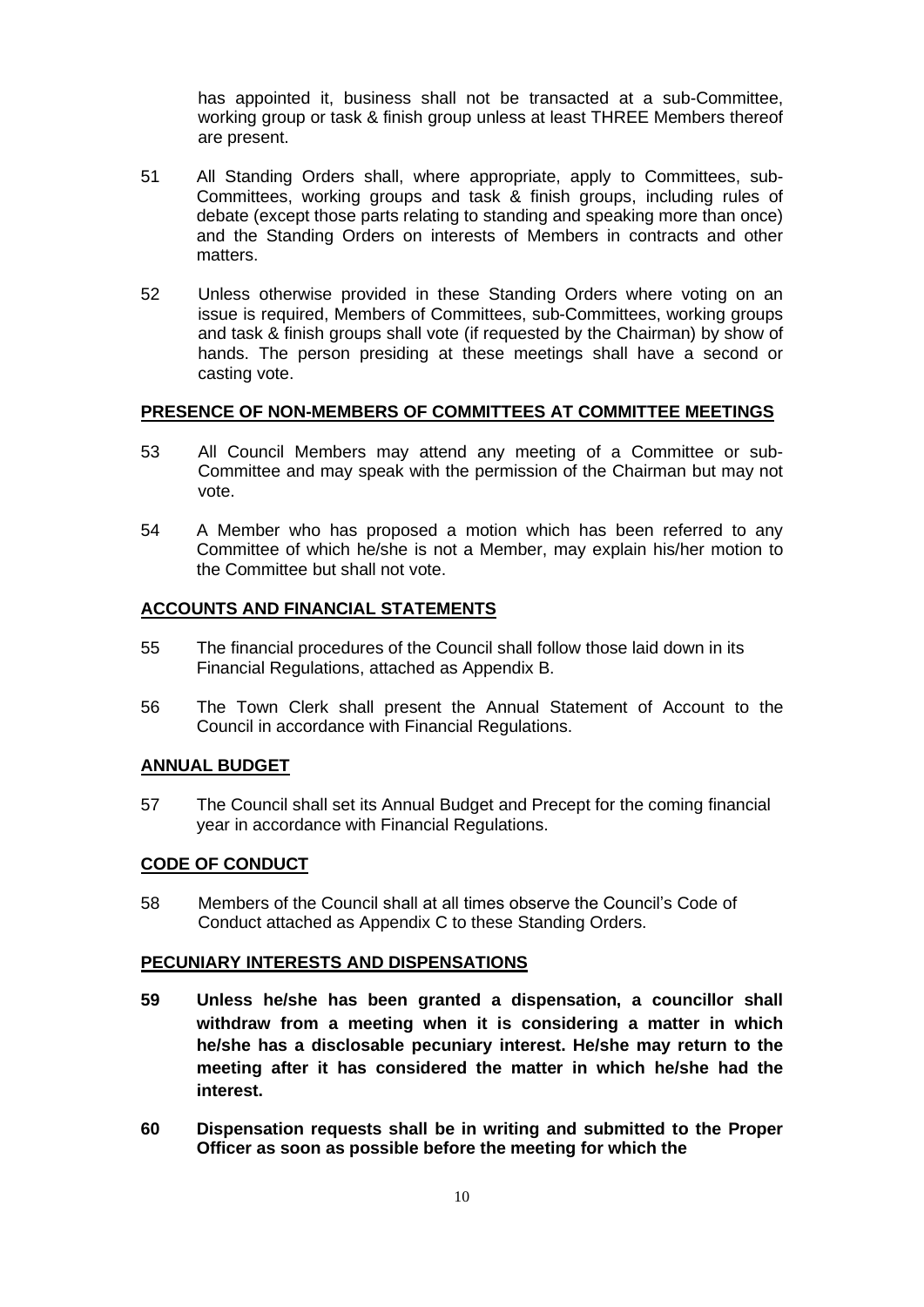has appointed it, business shall not be transacted at a sub-Committee, working group or task & finish group unless at least THREE Members thereof are present.

- 51 All Standing Orders shall, where appropriate, apply to Committees, sub-Committees, working groups and task & finish groups, including rules of debate (except those parts relating to standing and speaking more than once) and the Standing Orders on interests of Members in contracts and other matters.
- 52 Unless otherwise provided in these Standing Orders where voting on an issue is required, Members of Committees, sub-Committees, working groups and task & finish groups shall vote (if requested by the Chairman) by show of hands. The person presiding at these meetings shall have a second or casting vote.

#### **PRESENCE OF NON-MEMBERS OF COMMITTEES AT COMMITTEE MEETINGS**

- 53 All Council Members may attend any meeting of a Committee or sub-Committee and may speak with the permission of the Chairman but may not vote.
- 54 A Member who has proposed a motion which has been referred to any Committee of which he/she is not a Member, may explain his/her motion to the Committee but shall not vote.

#### **ACCOUNTS AND FINANCIAL STATEMENTS**

- 55 The financial procedures of the Council shall follow those laid down in its Financial Regulations, attached as Appendix B.
- 56 The Town Clerk shall present the Annual Statement of Account to the Council in accordance with Financial Regulations.

#### **ANNUAL BUDGET**

57 The Council shall set its Annual Budget and Precept for the coming financial year in accordance with Financial Regulations.

#### **CODE OF CONDUCT**

58 Members of the Council shall at all times observe the Council's Code of Conduct attached as Appendix C to these Standing Orders.

#### **PECUNIARY INTERESTS AND DISPENSATIONS**

- **59 Unless he/she has been granted a dispensation, a councillor shall withdraw from a meeting when it is considering a matter in which he/she has a disclosable pecuniary interest. He/she may return to the meeting after it has considered the matter in which he/she had the interest.**
- **60 Dispensation requests shall be in writing and submitted to the Proper Officer as soon as possible before the meeting for which the**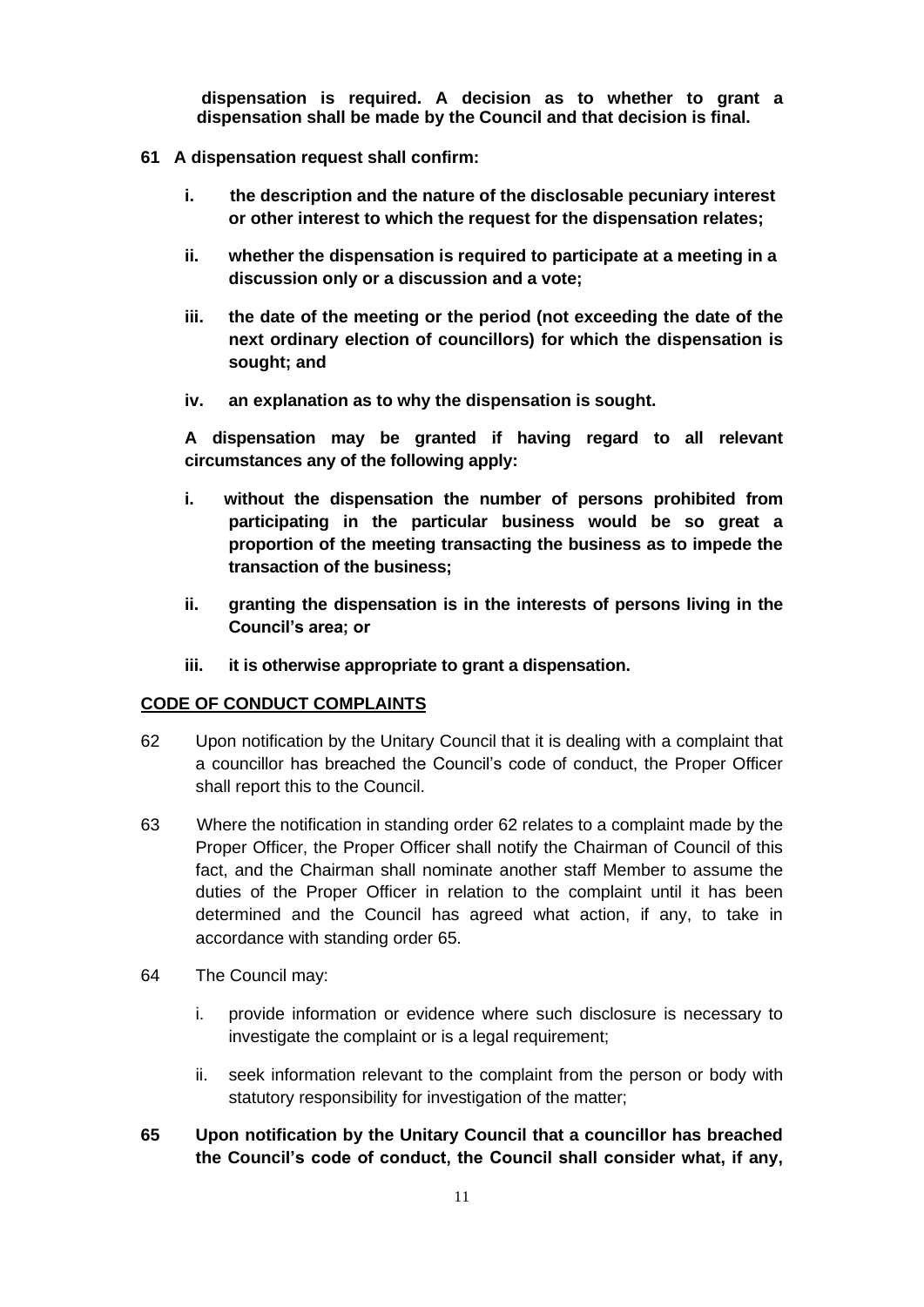**dispensation is required. A decision as to whether to grant a dispensation shall be made by the Council and that decision is final.**

- **61 A dispensation request shall confirm:**
	- **i. the description and the nature of the disclosable pecuniary interest or other interest to which the request for the dispensation relates;**
	- **ii. whether the dispensation is required to participate at a meeting in a discussion only or a discussion and a vote;**
	- **iii. the date of the meeting or the period (not exceeding the date of the next ordinary election of councillors) for which the dispensation is sought; and**
	- **iv. an explanation as to why the dispensation is sought.**

**A dispensation may be granted if having regard to all relevant circumstances any of the following apply:**

- **i. without the dispensation the number of persons prohibited from participating in the particular business would be so great a proportion of the meeting transacting the business as to impede the transaction of the business;**
- **ii. granting the dispensation is in the interests of persons living in the Council's area; or**
- **iii. it is otherwise appropriate to grant a dispensation.**

#### **CODE OF CONDUCT COMPLAINTS**

- 62 Upon notification by the Unitary Council that it is dealing with a complaint that a councillor has breached the Council's code of conduct, the Proper Officer shall report this to the Council.
- 63 Where the notification in standing order 62 relates to a complaint made by the Proper Officer, the Proper Officer shall notify the Chairman of Council of this fact, and the Chairman shall nominate another staff Member to assume the duties of the Proper Officer in relation to the complaint until it has been determined and the Council has agreed what action, if any, to take in accordance with standing order 65.
- 64 The Council may:
	- i. provide information or evidence where such disclosure is necessary to investigate the complaint or is a legal requirement;
	- ii. seek information relevant to the complaint from the person or body with statutory responsibility for investigation of the matter;

# **65 Upon notification by the Unitary Council that a councillor has breached the Council's code of conduct, the Council shall consider what, if any,**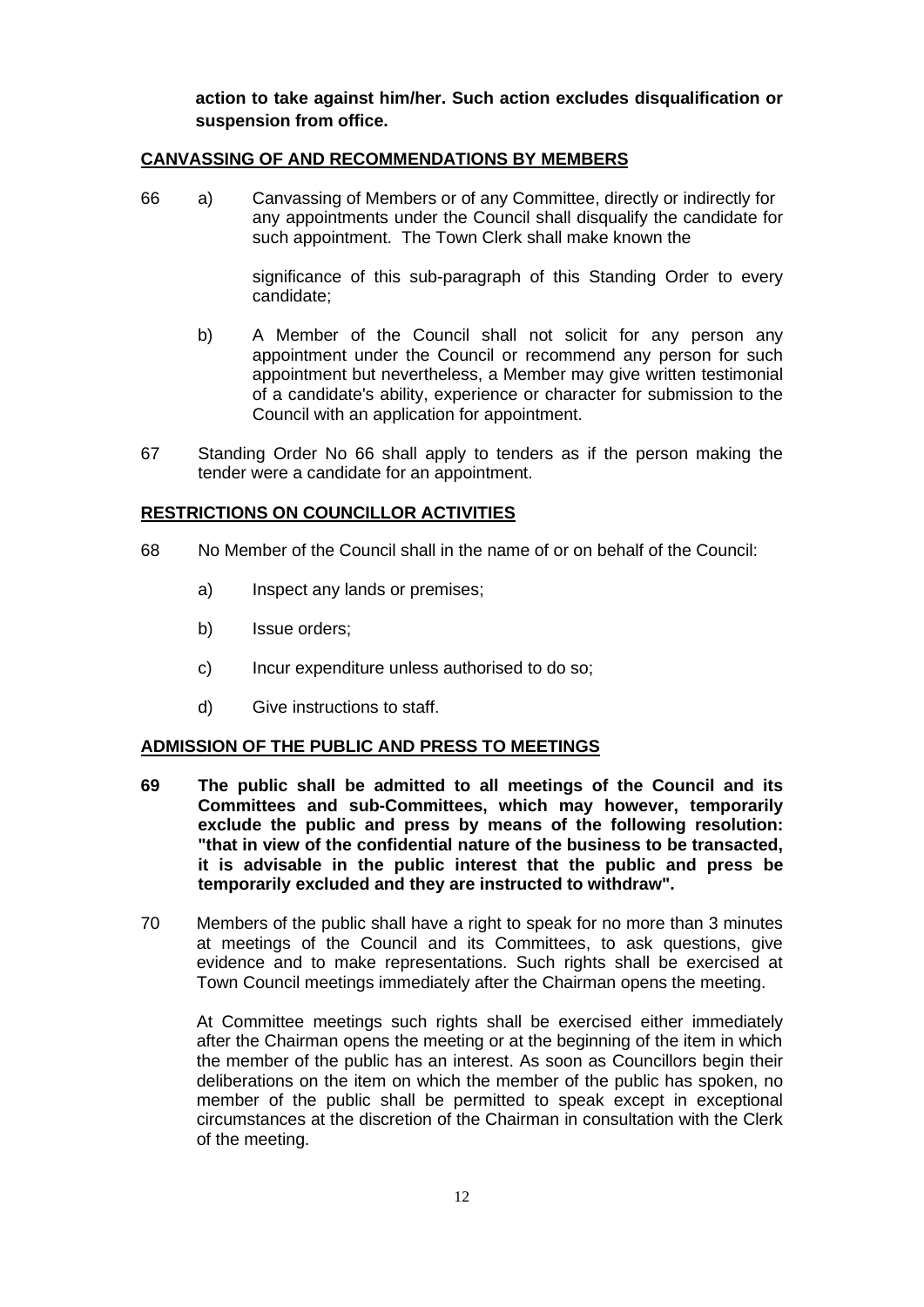**action to take against him/her. Such action excludes disqualification or suspension from office.**

#### **CANVASSING OF AND RECOMMENDATIONS BY MEMBERS**

66 a) Canvassing of Members or of any Committee, directly or indirectly for any appointments under the Council shall disqualify the candidate for such appointment. The Town Clerk shall make known the

> significance of this sub-paragraph of this Standing Order to every candidate;

- b) A Member of the Council shall not solicit for any person any appointment under the Council or recommend any person for such appointment but nevertheless, a Member may give written testimonial of a candidate's ability, experience or character for submission to the Council with an application for appointment.
- 67 Standing Order No 66 shall apply to tenders as if the person making the tender were a candidate for an appointment.

### **RESTRICTIONS ON COUNCILLOR ACTIVITIES**

- 68 No Member of the Council shall in the name of or on behalf of the Council:
	- a) Inspect any lands or premises;
	- b) Issue orders;
	- c) Incur expenditure unless authorised to do so;
	- d) Give instructions to staff.

#### **ADMISSION OF THE PUBLIC AND PRESS TO MEETINGS**

- **69 The public shall be admitted to all meetings of the Council and its Committees and sub-Committees, which may however, temporarily exclude the public and press by means of the following resolution: "that in view of the confidential nature of the business to be transacted, it is advisable in the public interest that the public and press be temporarily excluded and they are instructed to withdraw".**
- 70 Members of the public shall have a right to speak for no more than 3 minutes at meetings of the Council and its Committees, to ask questions, give evidence and to make representations. Such rights shall be exercised at Town Council meetings immediately after the Chairman opens the meeting.

At Committee meetings such rights shall be exercised either immediately after the Chairman opens the meeting or at the beginning of the item in which the member of the public has an interest. As soon as Councillors begin their deliberations on the item on which the member of the public has spoken, no member of the public shall be permitted to speak except in exceptional circumstances at the discretion of the Chairman in consultation with the Clerk of the meeting.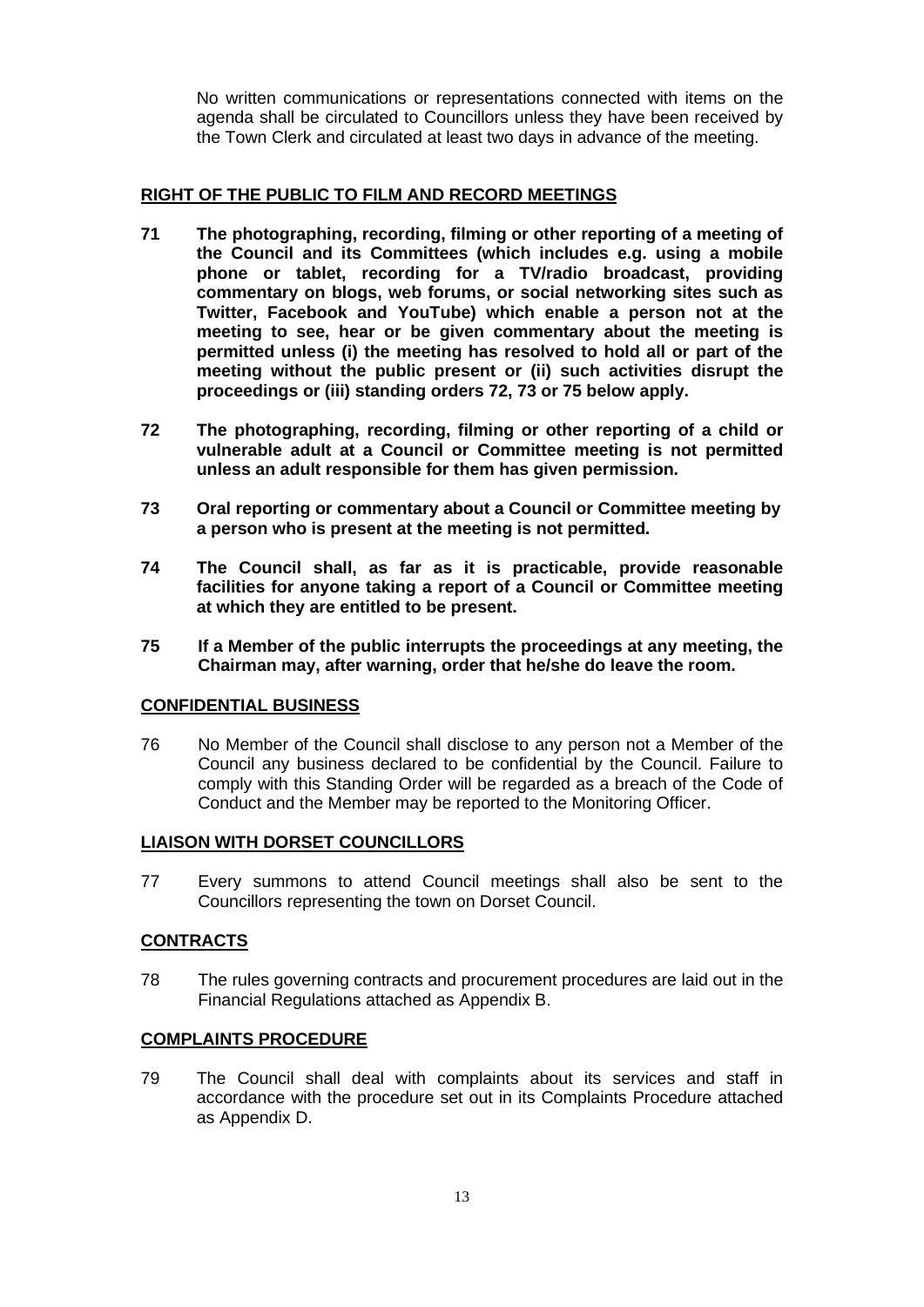No written communications or representations connected with items on the agenda shall be circulated to Councillors unless they have been received by the Town Clerk and circulated at least two days in advance of the meeting.

## **RIGHT OF THE PUBLIC TO FILM AND RECORD MEETINGS**

- **71 The photographing, recording, filming or other reporting of a meeting of the Council and its Committees (which includes e.g. using a mobile phone or tablet, recording for a TV/radio broadcast, providing commentary on blogs, web forums, or social networking sites such as Twitter, Facebook and YouTube) which enable a person not at the meeting to see, hear or be given commentary about the meeting is permitted unless (i) the meeting has resolved to hold all or part of the meeting without the public present or (ii) such activities disrupt the proceedings or (iii) standing orders 72, 73 or 75 below apply.**
- **72 The photographing, recording, filming or other reporting of a child or vulnerable adult at a Council or Committee meeting is not permitted unless an adult responsible for them has given permission.**
- **73 Oral reporting or commentary about a Council or Committee meeting by a person who is present at the meeting is not permitted.**
- **74 The Council shall, as far as it is practicable, provide reasonable facilities for anyone taking a report of a Council or Committee meeting at which they are entitled to be present.**
- **75 If a Member of the public interrupts the proceedings at any meeting, the Chairman may, after warning, order that he/she do leave the room.**

## **CONFIDENTIAL BUSINESS**

76 No Member of the Council shall disclose to any person not a Member of the Council any business declared to be confidential by the Council. Failure to comply with this Standing Order will be regarded as a breach of the Code of Conduct and the Member may be reported to the Monitoring Officer.

## **LIAISON WITH DORSET COUNCILLORS**

77 Every summons to attend Council meetings shall also be sent to the Councillors representing the town on Dorset Council.

## **CONTRACTS**

78 The rules governing contracts and procurement procedures are laid out in the Financial Regulations attached as Appendix B.

#### **COMPLAINTS PROCEDURE**

79 The Council shall deal with complaints about its services and staff in accordance with the procedure set out in its Complaints Procedure attached as Appendix D.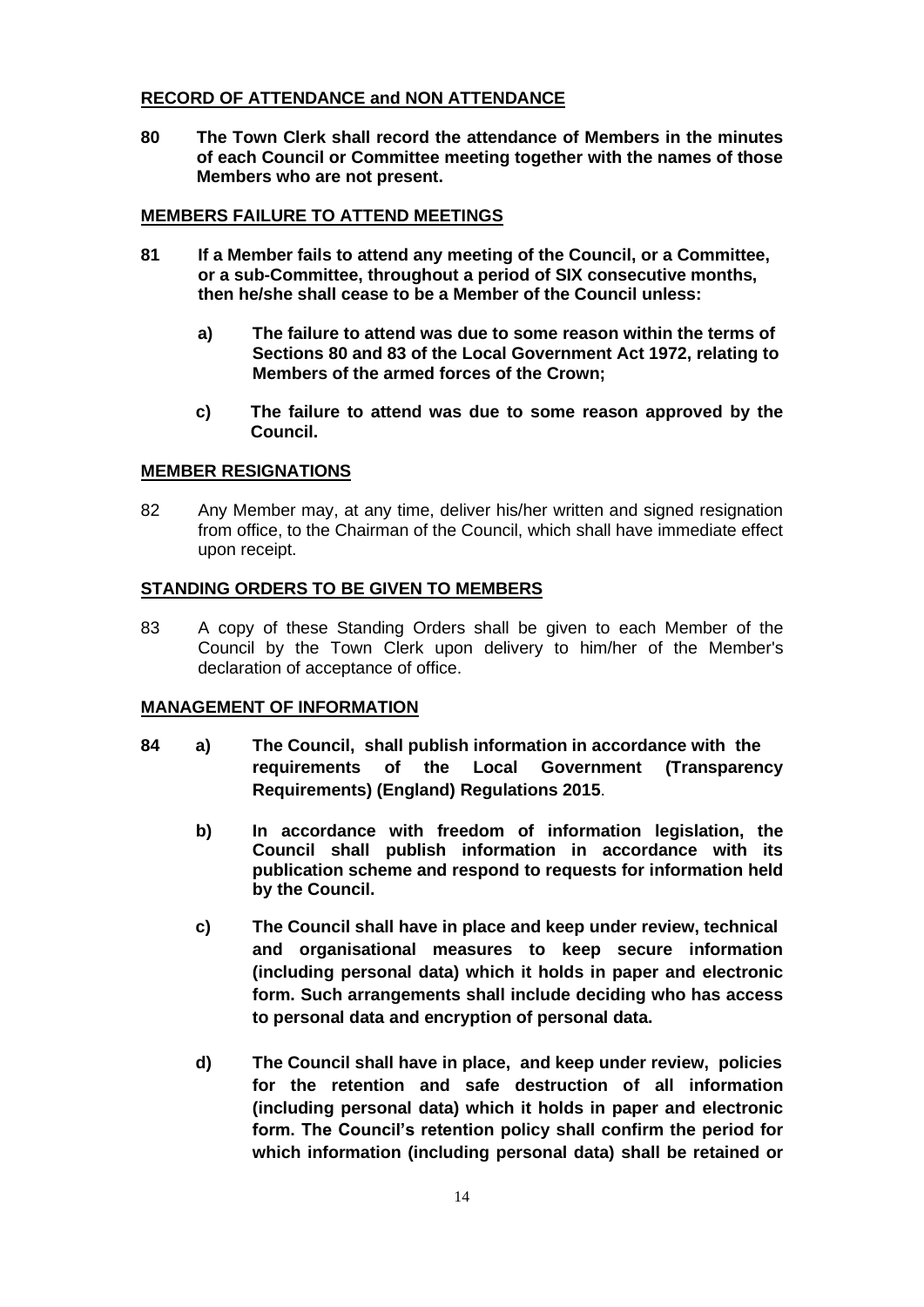### **RECORD OF ATTENDANCE and NON ATTENDANCE**

**80 The Town Clerk shall record the attendance of Members in the minutes of each Council or Committee meeting together with the names of those Members who are not present.**

### **MEMBERS FAILURE TO ATTEND MEETINGS**

- **81 If a Member fails to attend any meeting of the Council, or a Committee, or a sub-Committee, throughout a period of SIX consecutive months, then he/she shall cease to be a Member of the Council unless:**
	- **a) The failure to attend was due to some reason within the terms of Sections 80 and 83 of the Local Government Act 1972, relating to Members of the armed forces of the Crown;**
	- **c) The failure to attend was due to some reason approved by the Council.**

#### **MEMBER RESIGNATIONS**

82 Any Member may, at any time, deliver his/her written and signed resignation from office, to the Chairman of the Council, which shall have immediate effect upon receipt.

#### **STANDING ORDERS TO BE GIVEN TO MEMBERS**

83 A copy of these Standing Orders shall be given to each Member of the Council by the Town Clerk upon delivery to him/her of the Member's declaration of acceptance of office.

#### **MANAGEMENT OF INFORMATION**

- **84 a) The Council, shall publish information in accordance with the requirements of the Local Government (Transparency Requirements) (England) Regulations 2015**.
	- **b) In accordance with freedom of information legislation, the Council shall publish information in accordance with its publication scheme and respond to requests for information held by the Council.**
	- **c) The Council shall have in place and keep under review, technical and organisational measures to keep secure information (including personal data) which it holds in paper and electronic form. Such arrangements shall include deciding who has access to personal data and encryption of personal data.**
	- **d) The Council shall have in place, and keep under review, policies for the retention and safe destruction of all information (including personal data) which it holds in paper and electronic form. The Council's retention policy shall confirm the period for which information (including personal data) shall be retained or**